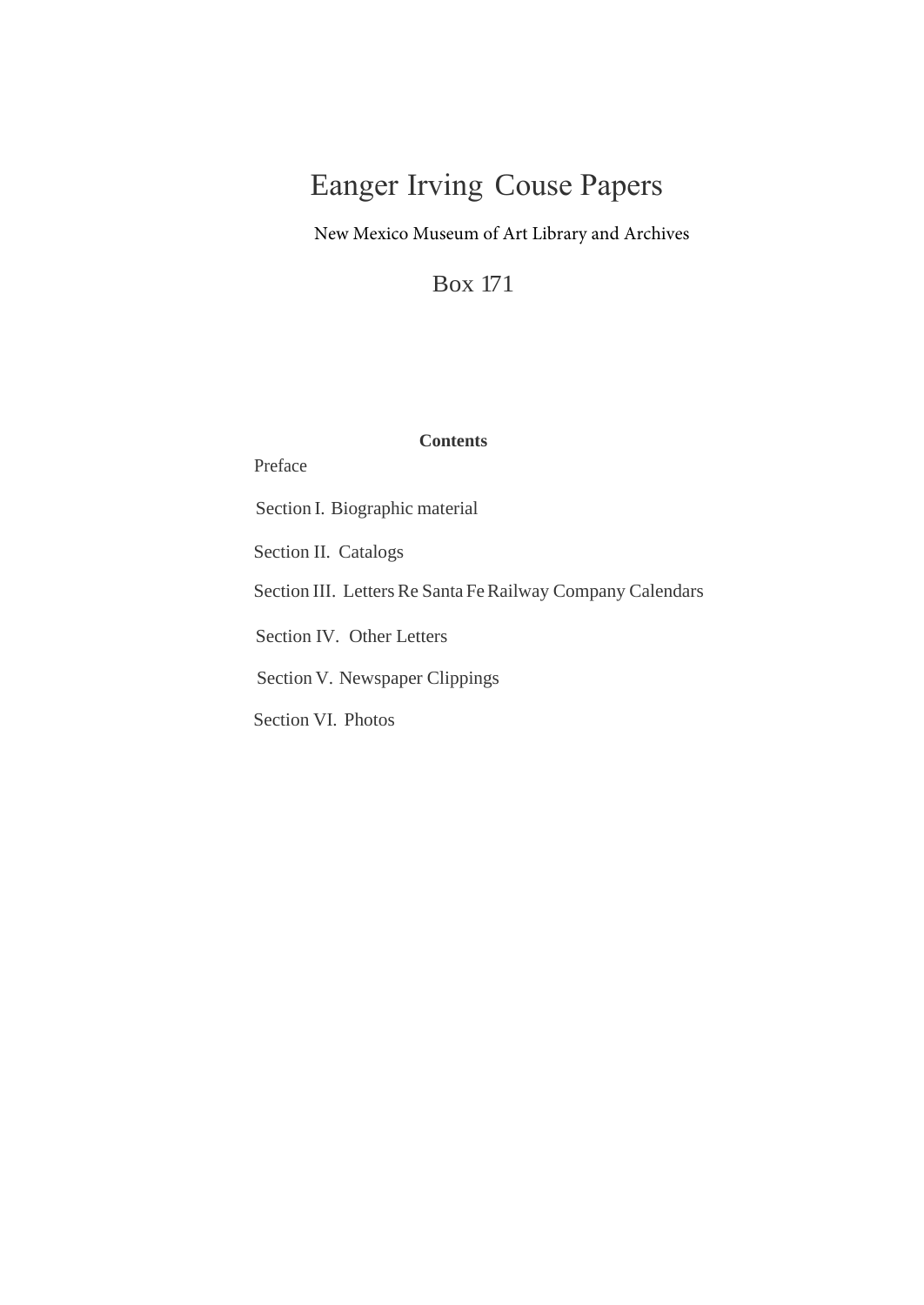# Eanger Irving Couse Papers

New Mexico Museum of Art Library and Archives

Box 171

## **Contents**

Preface

Section I. Biographic material Section II. Catalogs Section III. Letters Re Santa FeRailway Company Calendars Section IV. Other Letters Section V. Newspaper Clippings Section VI. Photos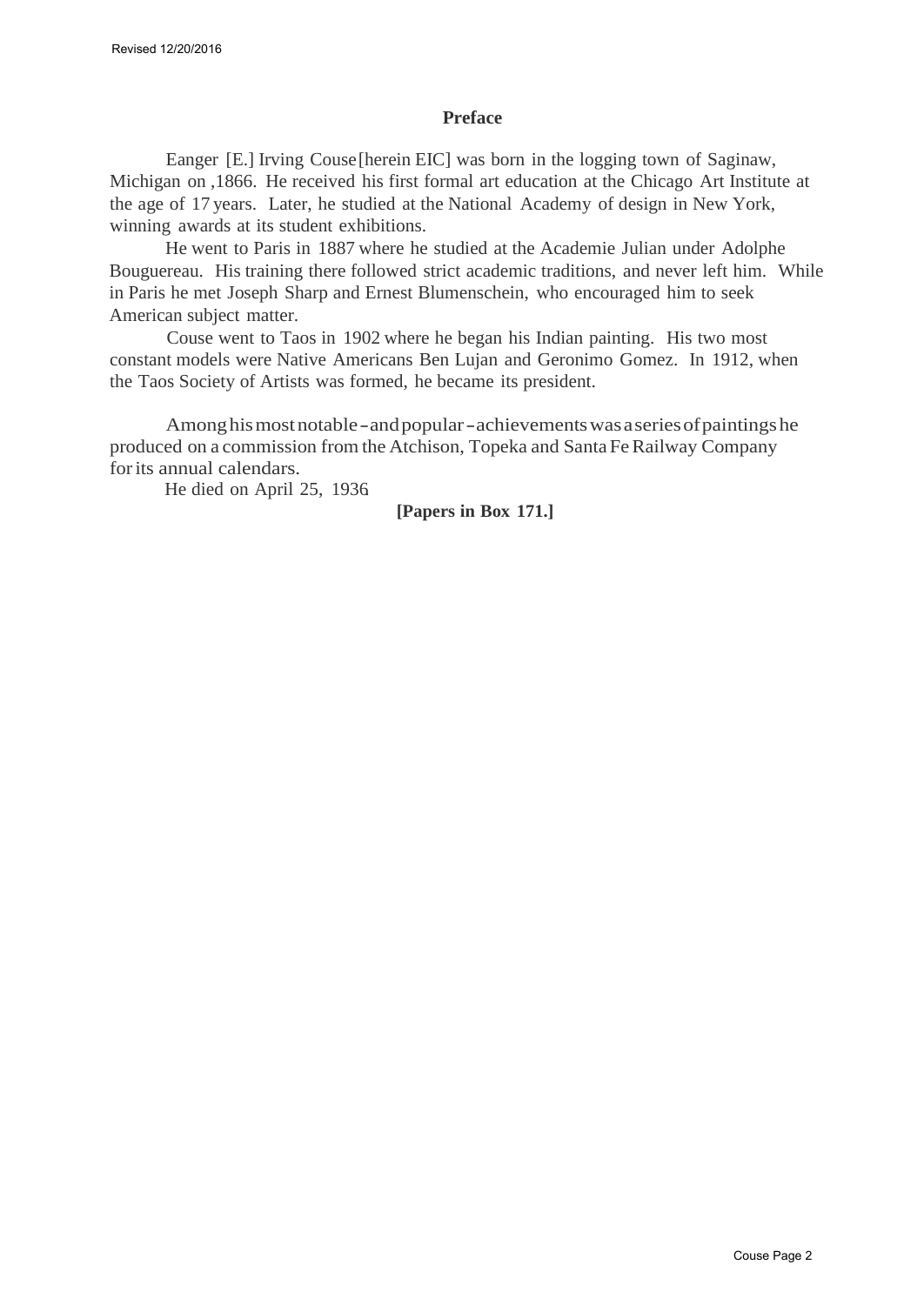#### **Preface**

Eanger [E.] Irving Couse [herein EIC] was born in the logging town of Saginaw, Michigan on ,1866. He received his first formal art education at the Chicago Art Institute at the age of 17 years. Later, he studied at the National Academy of design in New York, winning awards at its student exhibitions.

He went to Paris in 1887 where he studied at the Academie Julian under Adolphe Bouguereau. His training there followed strict academic traditions, and never left him. While in Paris he met Joseph Sharp and Ernest Blumenschein, who encouraged him to seek American subject matter.

Couse went to Taos in 1902 where he began his Indian painting. His two most constant models were Native Americans Ben Lujan and Geronimo Gomez. In 1912, when the Taos Society of Artists was formed, he became its president.

Among his most notable - and popular - achievements was a series of paintings he produced on a commission from the Atchison, Topeka and Santa Fe Railway Company for its annual calendars*.*

He died on April 25, 1936.

### **[Papers in Box 171.]**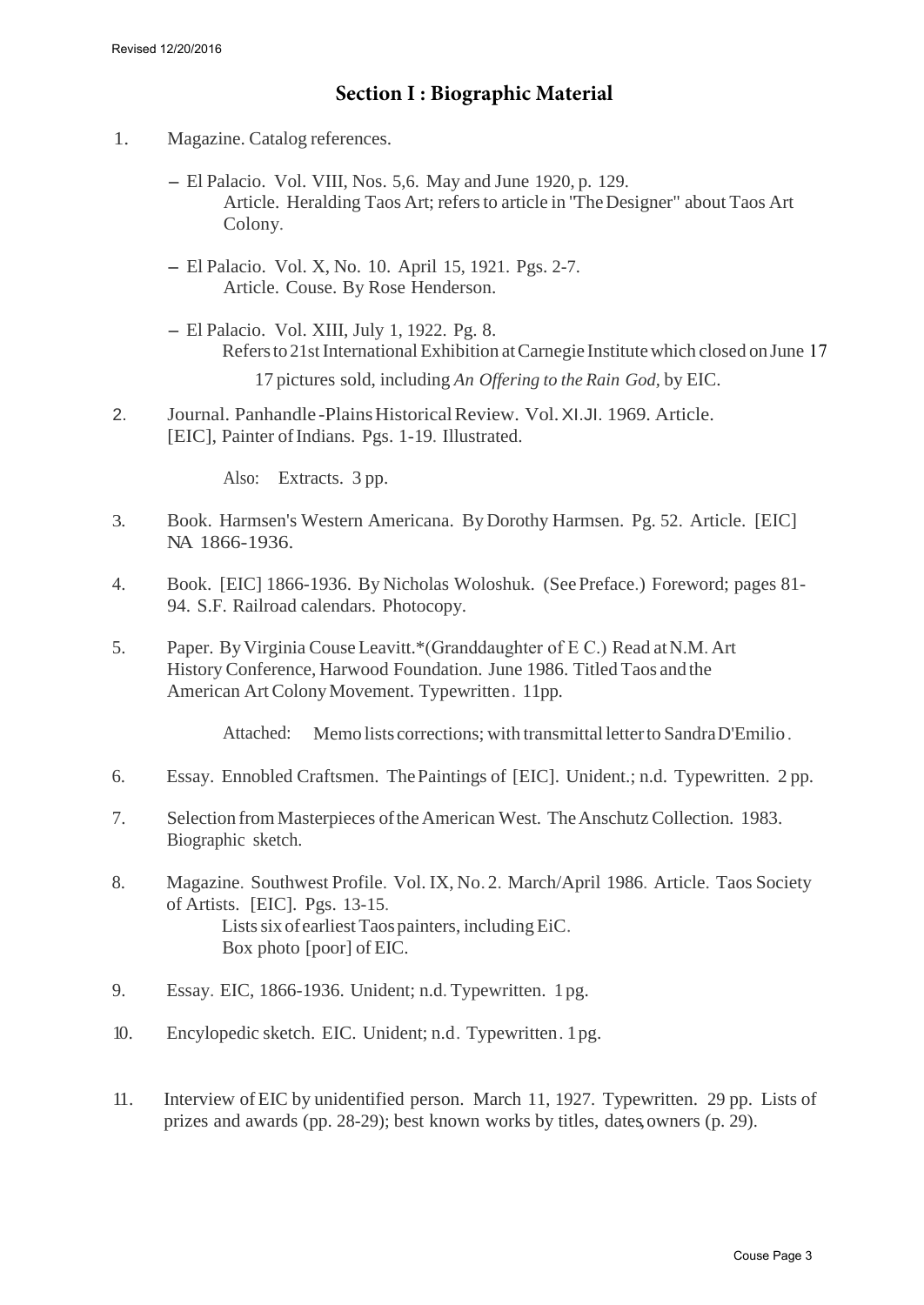- 1. Magazine. Catalog references.
	- El Palacio. Vol. VIII, Nos. 5,6. May and June 1920, p. 129. Article. Heralding Taos Art; refers to article in "The Designer" about Taos Art Colony.
	- El Palacio. Vol. X, No. 10. April 15, 1921. Pgs. 2-7. Article. Couse. By Rose Henderson.
	- El Palacio. Vol. XIII, July 1, 1922. Pg. 8. Refers to 21st International Exhibition atCarnegie Institute which closed on June 17 17 pictures sold, including *An Offering to the Rain God,* by EIC.

2. Journal. Panhandle -Plains Historical Review. Vol. XI.JI. 1969. Article. [EIC], Painter of Indians. Pgs. 1-19. Illustrated.

Also: Extracts. 3 pp.

- 3. Book. Harmsen's Western Americana. ByDorothy Harmsen. Pg. 52. Article. [EIC] NA 1866-1936.
- 4. Book. [EIC] 1866-1936. By Nicholas Woloshuk. (See Preface.) Foreword; pages 81- 94. S.F. Railroad calendars. Photocopy.
- 5. Paper. ByVirginia Couse Leavitt.\*(Granddaughter of E C.) Read atN.M. Art History Conference, Harwood Foundation. June 1986. Titled Taos and the American Art Colony Movement. Typewritten. 11pp.

Attached: Memo lists corrections; with transmittal letter to Sandra D'Emilio.

- 6. Essay. Ennobled Craftsmen. The Paintings of [EIC]. Unident.; n.d. Typewritten. 2 pp.
- 7. Selection from Masterpieces of the American West. The Anschutz Collection. 1983. Biographic sketch.
- 8. Magazine. Southwest Profile. Vol. IX, No. 2. March/April 1986. Article. Taos Society of Artists. [EIC]. Pgs. 13-15. Lists six of earliest Taos painters, including EiC. Box photo [poor] of EIC.
- 9. Essay. EIC, 1866-1936. Unident; n.d. Typewritten. 1 pg.
- 10. Encylopedic sketch. EIC. Unident; n.d . Typewritten . 1 pg.
- 11. Interview of EIC by unidentified person. March 11, 1927. Typewritten. 29 pp. Lists of prizes and awards (pp. 28-29); best known works by titles, dates, owners (p. 29).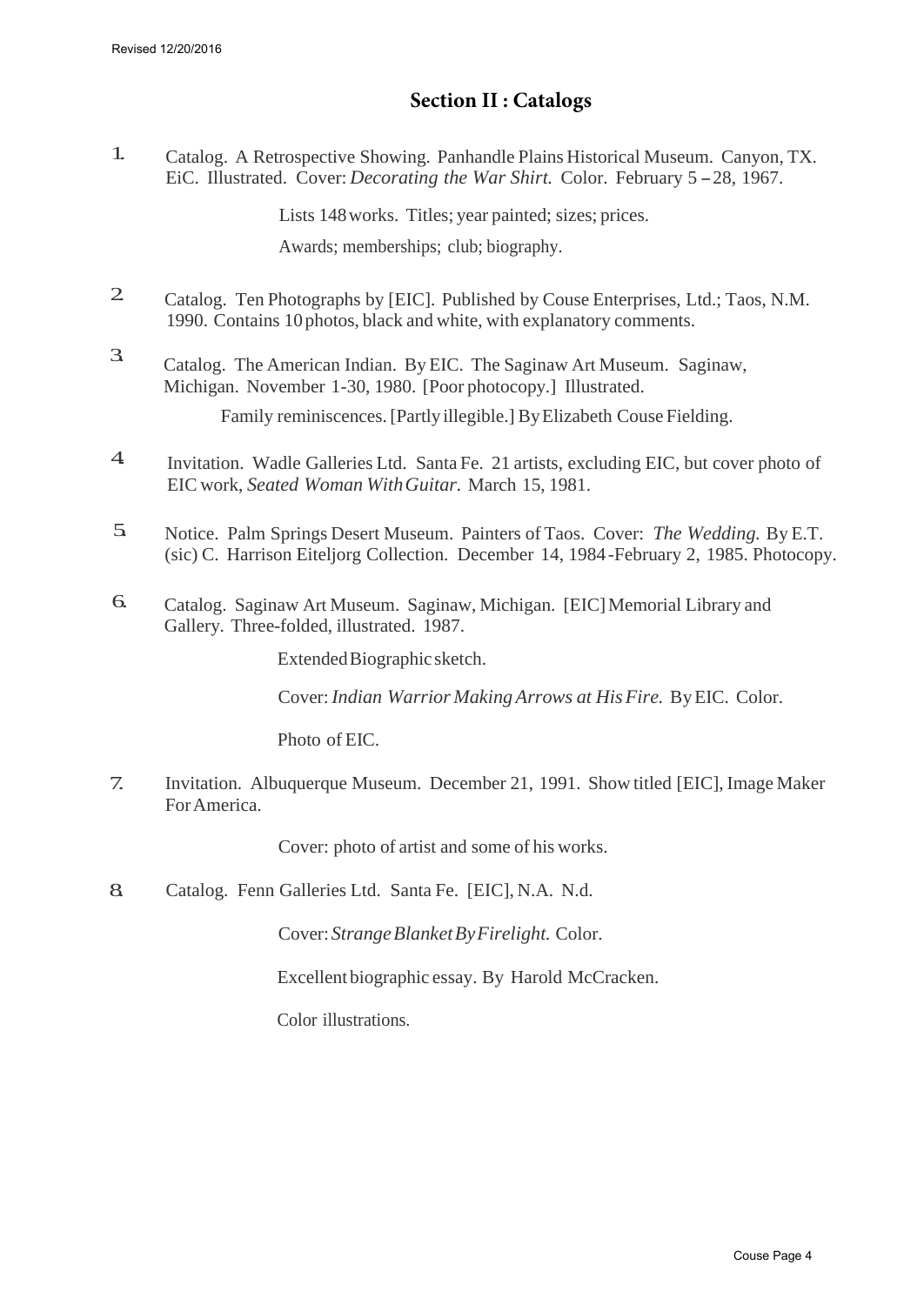## **Section II : Catalogs**

1. Catalog. A Retrospective Showing. Panhandle Plains Historical Museum. Canyon, TX. EiC. Illustrated. Cover: *Decorating the War Shirt.* Color. February 5 - 28, 1967.

Lists 148 works. Titles; year painted; sizes; prices.

Awards; memberships; club; biography.

- 2 Catalog. Ten Photographs by [EIC]. Published by Couse Enterprises, Ltd.; Taos, N.M. 1990. Contains 10 photos, black and white, with explanatory comments.
- 3. Catalog. The American Indian. ByEIC. The Saginaw Art Museum. Saginaw, Michigan. November 1-30, 1980. [Poor photocopy.] Illustrated. Family reminiscences. [Partly illegible.] ByElizabeth Couse Fielding.
- 4. Invitation. Wadle Galleries Ltd. Santa Fe. 21 artists, excluding EIC, but cover photo of EIC work, *Seated Woman With Guitar.* March 15, 1981.
- 5. Notice. Palm Springs Desert Museum. Painters of Taos. Cover: *The Wedding.* By E.T. (sic) C. Harrison Eiteljorg Collection. December 14, 1984 -February 2, 1985. Photocopy.
- 6. Catalog. Saginaw Art Museum. Saginaw, Michigan. [EIC] Memorial Library and Gallery. Three-folded, illustrated. 1987.

Extended Biographic sketch.

Cover: *Indian Warrior Making Arrows at His Fire.* ByEIC. Color.

Photo of EIC.

7. Invitation. Albuquerque Museum. December 21, 1991. Show titled [EIC], Image Maker For America.

Cover: photo of artist and some of his works.

8. Catalog. Fenn Galleries Ltd. Santa Fe. [EIC], N.A. N.d.

Cover: *Strange Blanket By Firelight.* Color.

Excellent biographic essay. By Harold McCracken.

Color illustrations.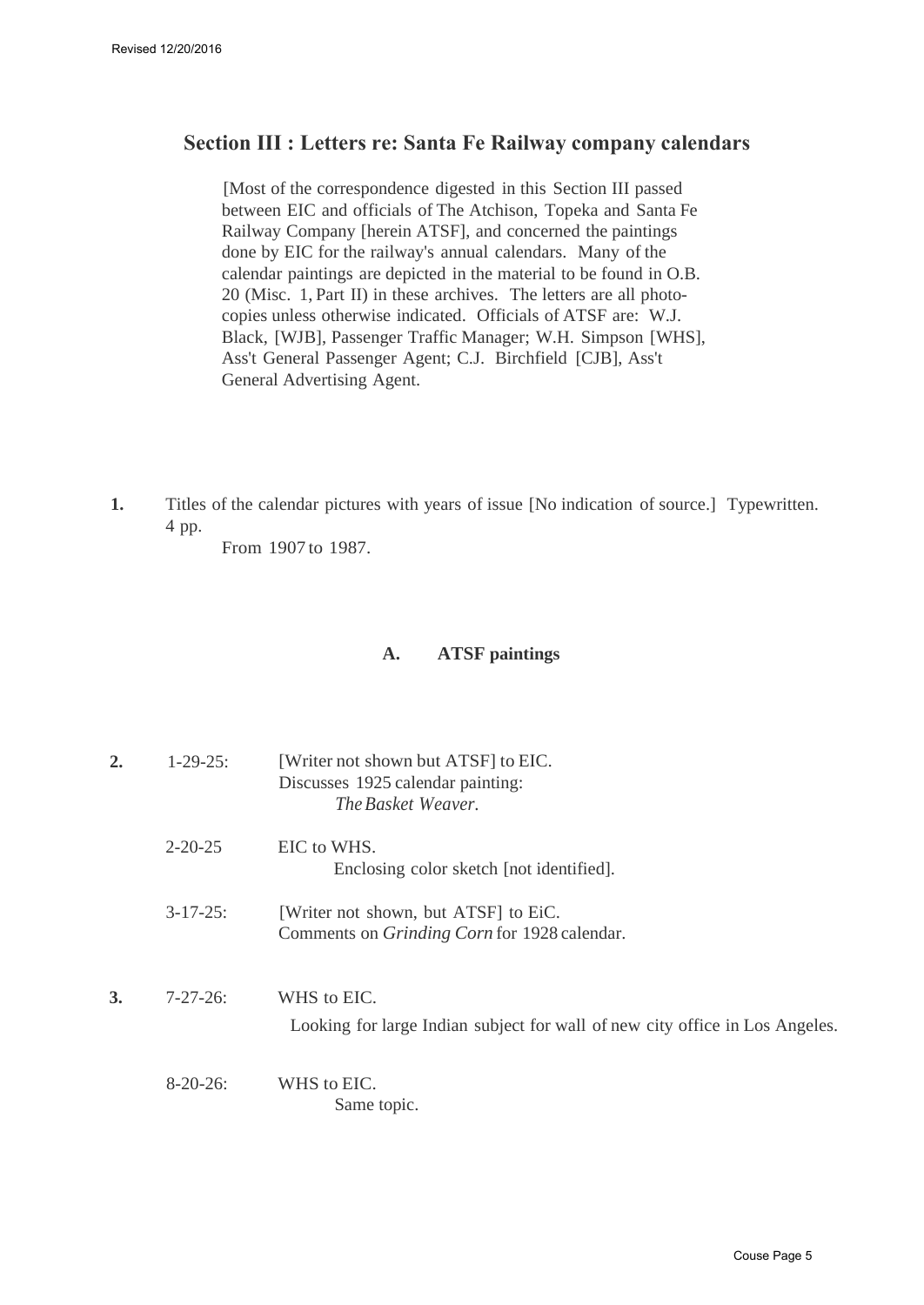## **Section III : Letters re: Santa Fe Railway company calendars**

[Most of the correspondence digested in this Section III passed between EIC and officials of The Atchison, Topeka and Santa Fe Railway Company [herein ATSF], and concerned the paintings done by EIC for the railway's annual calendars. Many of the calendar paintings are depicted in the material to be found in O.B. 20 (Misc. 1, Part II) in these archives. The letters are all photocopies unless otherwise indicated. Officials of ATSF are: W.J. Black, [WJB], Passenger Traffic Manager; W.H. Simpson [WHS], Ass't General Passenger Agent; C.J. Birchfield [CJB], Ass't General Advertising Agent.

**1.** Titles of the calendar pictures with years of issue [No indication of source.] Typewritten. 4 pp.

From 1907 to 1987.

## **A. ATSF paintings**

| $\overline{2}$ | $1 - 29 - 25$ : | [Writer not shown but ATSF] to EIC.<br>Discusses 1925 calendar painting:<br>The Basket Weaver. |
|----------------|-----------------|------------------------------------------------------------------------------------------------|
|                | $2 - 20 - 25$   | EIC to WHS.<br>Enclosing color sketch [not identified].                                        |
|                | $3 - 17 - 25$ : | [Writer not shown, but ATSF] to EiC.<br>Comments on <i>Grinding Corn</i> for 1928 calendar.    |
| 3.             | $7 - 27 - 26$   | WHS to EIC.<br>Looking for large Indian subject for wall of new city office in Los Angeles.    |
|                | $8-20-26$ :     | WHS to EIC.<br>Same topic.                                                                     |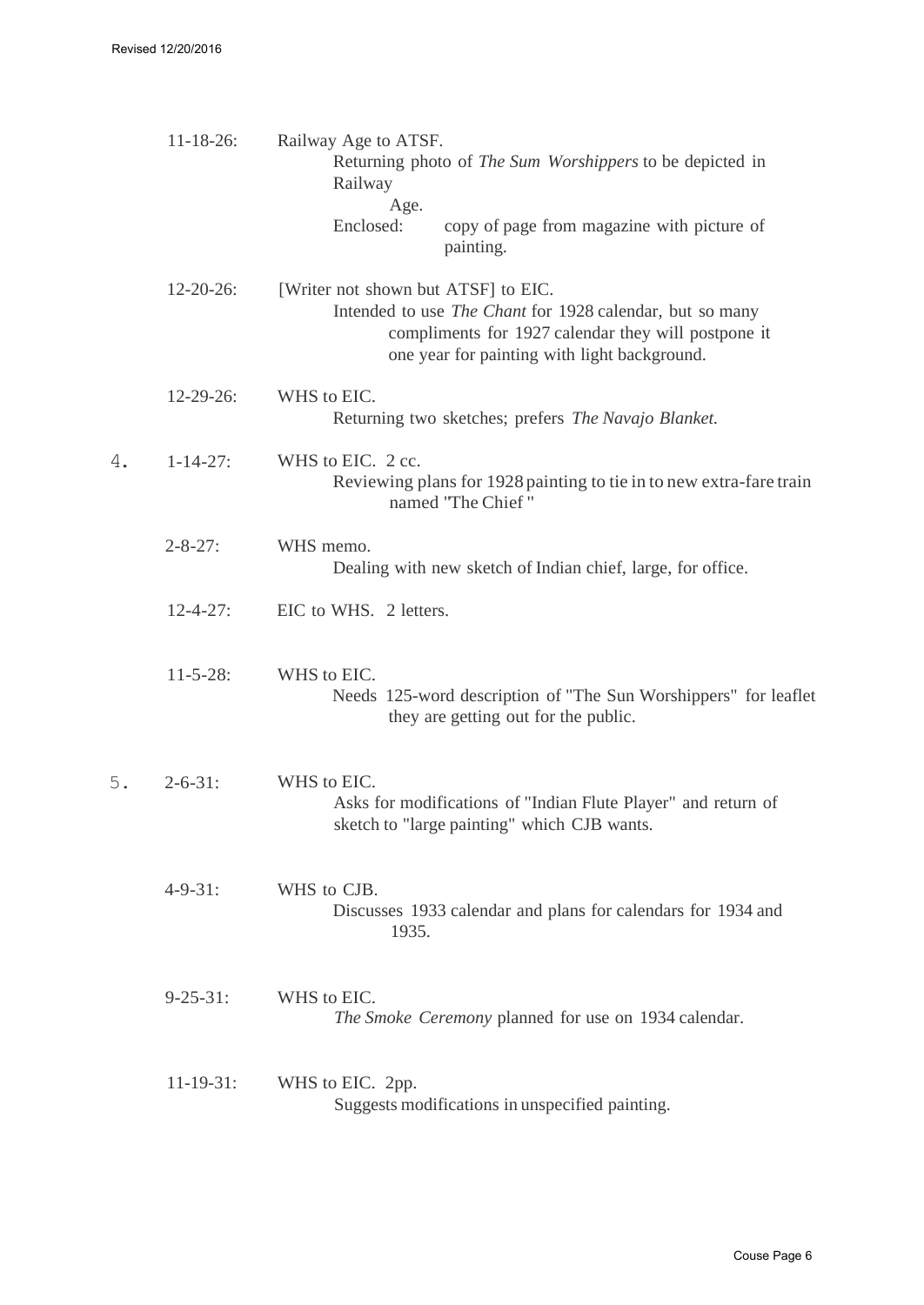|    | $11 - 18 - 26$ : | Railway Age to ATSF.<br>Railway<br>Age. | Returning photo of <i>The Sum Worshippers</i> to be depicted in                                                                                                 |
|----|------------------|-----------------------------------------|-----------------------------------------------------------------------------------------------------------------------------------------------------------------|
|    |                  | Enclosed:                               | copy of page from magazine with picture of<br>painting.                                                                                                         |
|    | $12 - 20 - 26$ : | [Writer not shown but ATSF] to EIC.     | Intended to use The Chant for 1928 calendar, but so many<br>compliments for 1927 calendar they will postpone it<br>one year for painting with light background. |
|    | $12 - 29 - 26$ : | WHS to EIC.                             | Returning two sketches; prefers The Navajo Blanket.                                                                                                             |
| 4. | $1 - 14 - 27$ :  | WHS to EIC. 2 cc.                       | Reviewing plans for 1928 painting to tie in to new extra-fare train<br>named "The Chief"                                                                        |
|    | $2 - 8 - 27$ :   | WHS memo.                               | Dealing with new sketch of Indian chief, large, for office.                                                                                                     |
|    | $12 - 4 - 27$ :  | EIC to WHS. 2 letters.                  |                                                                                                                                                                 |
|    | $11 - 5 - 28$ :  | WHS to EIC.                             | Needs 125-word description of "The Sun Worshippers" for leaflet<br>they are getting out for the public.                                                         |
| 5. | $2 - 6 - 31$ :   | WHS to EIC.                             | Asks for modifications of "Indian Flute Player" and return of<br>sketch to "large painting" which CJB wants.                                                    |
|    | $4 - 9 - 31$ :   | WHS to CJB.<br>1935.                    | Discusses 1933 calendar and plans for calendars for 1934 and                                                                                                    |
|    | $9 - 25 - 31$ :  | WHS to EIC.                             | The Smoke Ceremony planned for use on 1934 calendar.                                                                                                            |
|    | $11-19-31$ :     | WHS to EIC. 2pp.                        | Suggests modifications in unspecified painting.                                                                                                                 |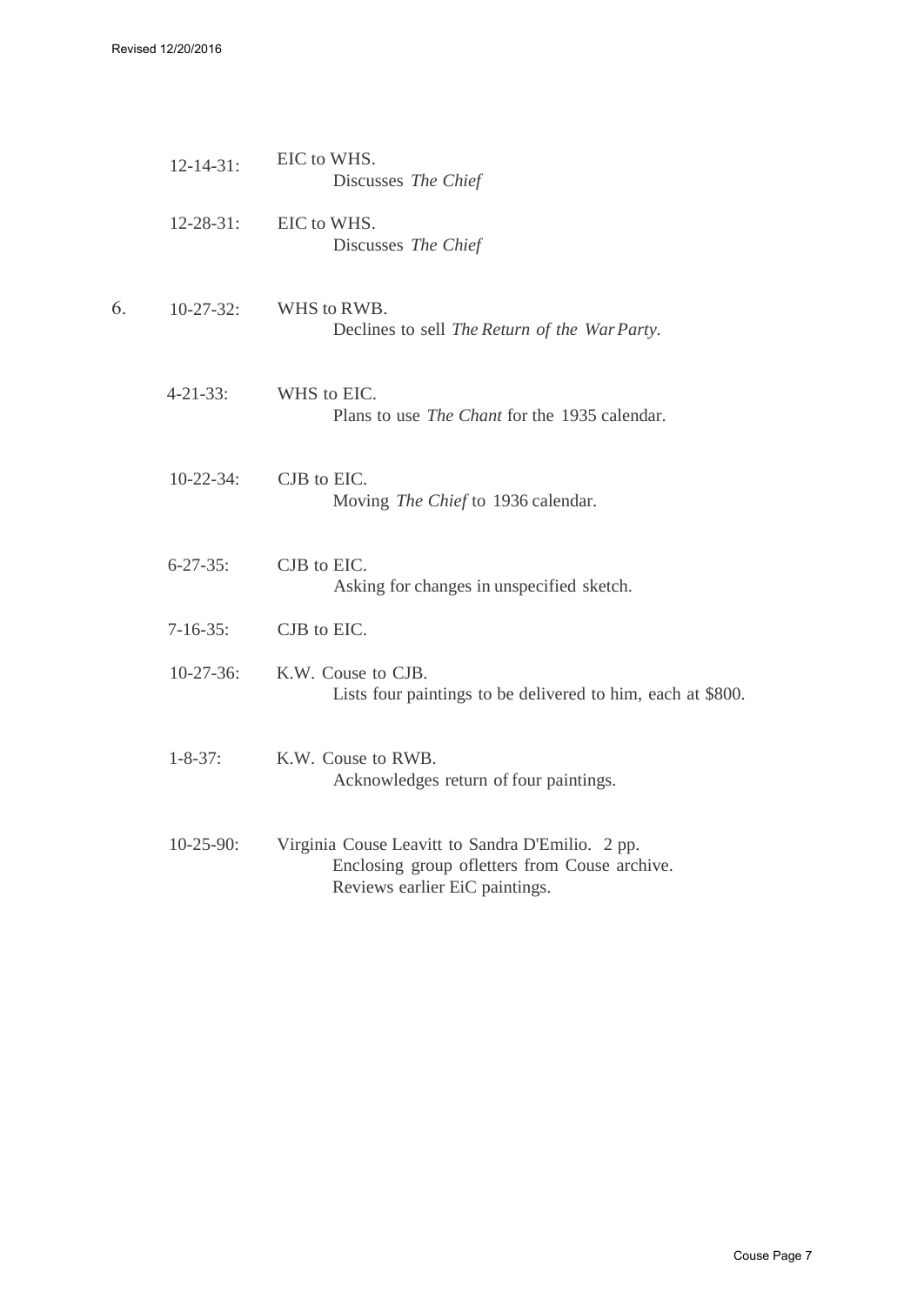Revised 12/20/2016

|    | $12 - 14 - 31$ : | EIC to WHS.<br>Discusses The Chief                                                                                                  |
|----|------------------|-------------------------------------------------------------------------------------------------------------------------------------|
|    | $12 - 28 - 31$ : | EIC to WHS.<br>Discusses The Chief                                                                                                  |
| 6. | $10-27-32$ :     | WHS to RWB.<br>Declines to sell The Return of the WarParty.                                                                         |
|    | $4 - 21 - 33$ :  | WHS to EIC.<br>Plans to use <i>The Chant</i> for the 1935 calendar.                                                                 |
|    | $10-22-34$ :     | CJB to EIC.<br>Moving The Chief to 1936 calendar.                                                                                   |
|    | $6 - 27 - 35$ :  | CJB to EIC.<br>Asking for changes in unspecified sketch.                                                                            |
|    | $7 - 16 - 35$ :  | CJB to EIC.                                                                                                                         |
|    | $10-27-36$ :     | K.W. Couse to CJB.<br>Lists four paintings to be delivered to him, each at \$800.                                                   |
|    | $1 - 8 - 37$ :   | K.W. Couse to RWB.<br>Acknowledges return of four paintings.                                                                        |
|    | $10-25-90$ :     | Virginia Couse Leavitt to Sandra D'Emilio. 2 pp.<br>Enclosing group ofletters from Couse archive.<br>Reviews earlier EiC paintings. |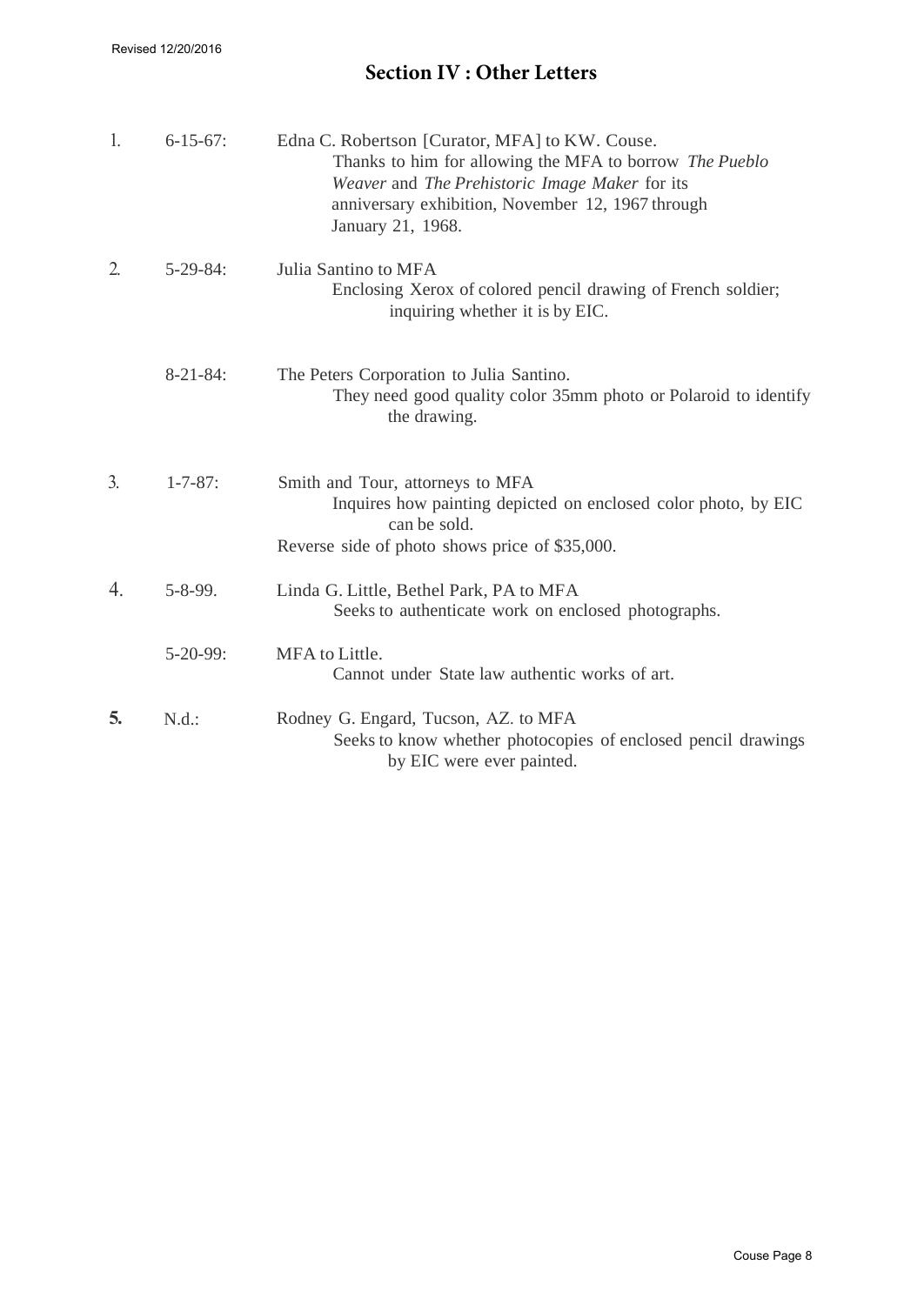# **Section IV : Other Letters**

| 1.               | $6 - 15 - 67$ : | Edna C. Robertson [Curator, MFA] to KW. Couse.<br>Thanks to him for allowing the MFA to borrow The Pueblo<br>Weaver and The Prehistoric Image Maker for its<br>anniversary exhibition, November 12, 1967 through<br>January 21, 1968. |
|------------------|-----------------|---------------------------------------------------------------------------------------------------------------------------------------------------------------------------------------------------------------------------------------|
| $\overline{2}$ . | $5 - 29 - 84$ : | Julia Santino to MFA<br>Enclosing Xerox of colored pencil drawing of French soldier;<br>inquiring whether it is by EIC.                                                                                                               |
|                  | $8-21-84$ :     | The Peters Corporation to Julia Santino.<br>They need good quality color 35mm photo or Polaroid to identify<br>the drawing.                                                                                                           |
| $\mathfrak{Z}$ . | $1 - 7 - 87$ :  | Smith and Tour, attorneys to MFA<br>Inquires how painting depicted on enclosed color photo, by EIC<br>can be sold.<br>Reverse side of photo shows price of \$35,000.                                                                  |
| 4.               | $5 - 8 - 99$ .  | Linda G. Little, Bethel Park, PA to MFA<br>Seeks to authenticate work on enclosed photographs.                                                                                                                                        |
|                  | $5-20-99$ :     | MFA to Little.<br>Cannot under State law authentic works of art.                                                                                                                                                                      |
| 5.               | N.d.:           | Rodney G. Engard, Tucson, AZ. to MFA<br>Seeks to know whether photocopies of enclosed pencil drawings<br>by EIC were ever painted.                                                                                                    |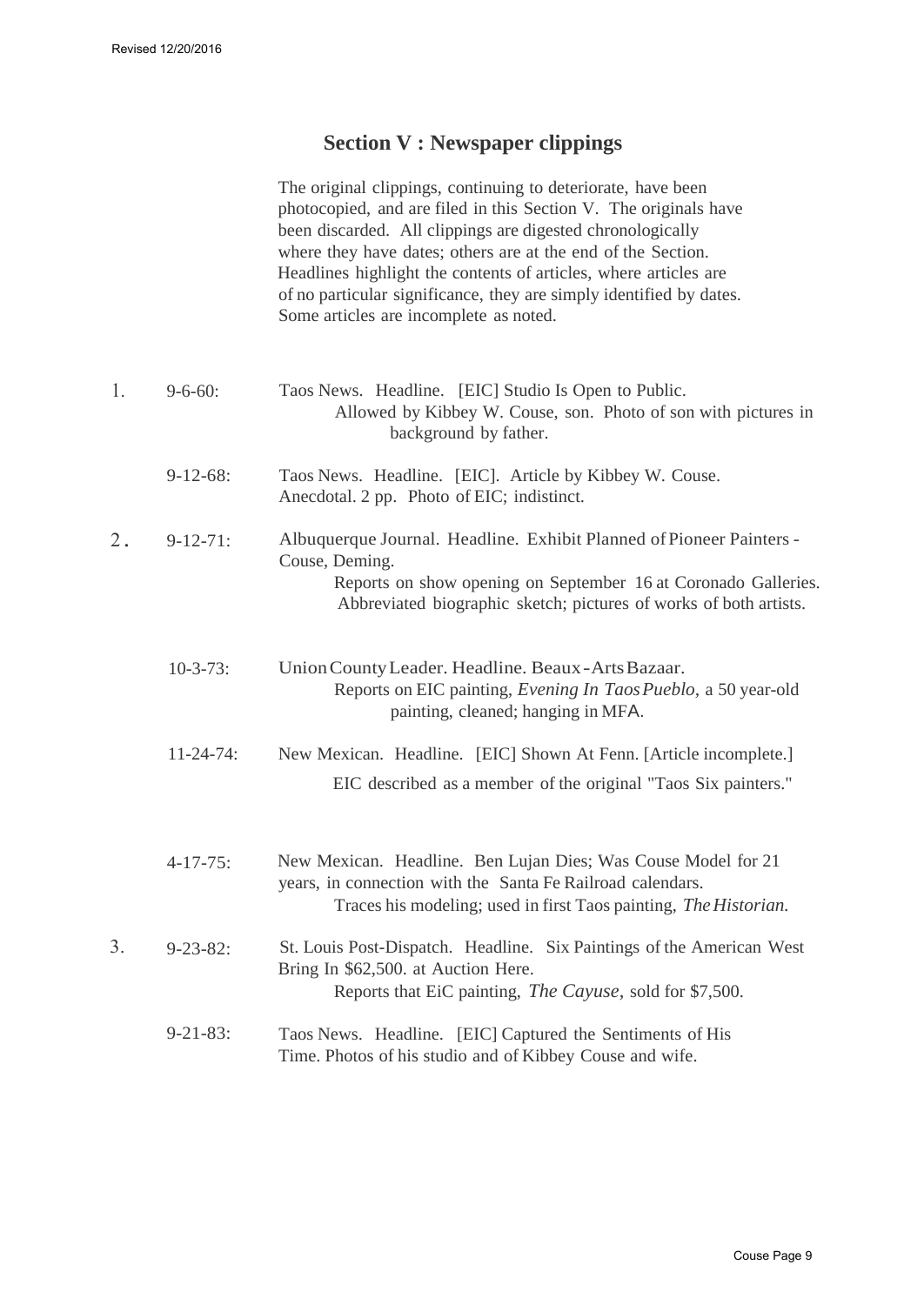## **Section V : Newspaper clippings**

The original clippings, continuing to deteriorate, have been photocopied, and are filed in this Section V. The originals have been discarded. All clippings are digested chronologically where they have dates; others are at the end of the Section. Headlines highlight the contents of articles, where articles are of no particular significance, they are simply identified by dates. Some articles are incomplete as noted.

| $\perp$ . | $9 - 6 - 60$ | Taos News. Headline. [EIC] Studio Is Open to Public.           |
|-----------|--------------|----------------------------------------------------------------|
|           |              | Allowed by Kibbey W. Couse, son. Photo of son with pictures in |
|           |              | background by father.                                          |
|           |              |                                                                |

- 9-12-68: Taos News. Headline. [EIC]. Article by Kibbey W. Couse. Anecdotal. 2 pp. Photo of EIC; indistinct.
- $2.9 12 71$ Albuquerque Journal. Headline. Exhibit Planned of Pioneer Painters - Couse, Deming. Reports on show opening on September 16 at Coronado Galleries. Abbreviated biographic sketch; pictures of works of both artists.
	- 10-3-73: Union County Leader. Headline. Beaux - Arts Bazaar. Reports on EIC painting, *Evening In Taos Pueblo,* a 50 year-old painting, cleaned; hanging in MFA.
	- 11-24-74: New Mexican. Headline. [EIC] Shown At Fenn. [Article incomplete.] EIC described as a member of the original "Taos Six painters."
	- $4 17 75$ : New Mexican. Headline. Ben Lujan Dies; Was Couse Model for 21 years, in connection with the Santa Fe Railroad calendars. Traces his modeling; used in first Taos painting, *The Historian.*
- 3. 9-23-82: St. Louis Post-Dispatch. Headline. Six Paintings of the American West Bring In \$62,500. at Auction Here. Reports that EiC painting, *The Cayuse,* sold for \$7,500.
	- 9-21-83: Taos News. Headline. [EIC] Captured the Sentiments of His Time. Photos of his studio and of Kibbey Couse and wife.